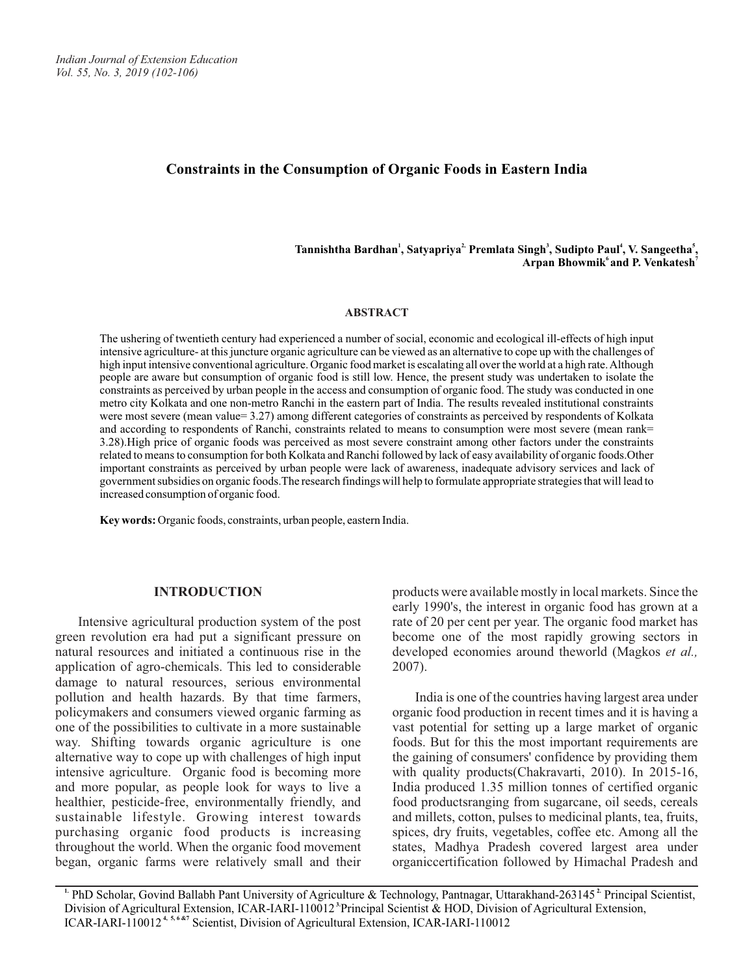# **Constraints in the Consumption of Organic Foods in Eastern India**

**<sup>1</sup> 2, <sup>3</sup> <sup>4</sup> <sup>5</sup> Tannishtha Bardhan , Satyapriya Premlata Singh , Sudipto Paul , V. Sangeetha , 6 7 Arpan Bhowmik and P. Venkatesh**

#### **ABSTRACT**

The ushering of twentieth century had experienced a number of social, economic and ecological ill-effects of high input intensive agriculture- at this juncture organic agriculture can be viewed as an alternative to cope up with the challenges of high input intensive conventional agriculture. Organic food market is escalating all over the world at a high rate. Although people are aware but consumption of organic food is still low. Hence, the present study was undertaken to isolate the constraints as perceived by urban people in the access and consumption of organic food. The study was conducted in one metro city Kolkata and one non-metro Ranchi in the eastern part of India. The results revealed institutional constraints were most severe (mean value= 3.27) among different categories of constraints as perceived by respondents of Kolkata and according to respondents of Ranchi, constraints related to means to consumption were most severe (mean rank= 3.28).High price of organic foods was perceived as most severe constraint among other factors under the constraints related to means to consumption for both Kolkata and Ranchi followed by lack of easy availability of organic foods.Other important constraints as perceived by urban people were lack of awareness, inadequate advisory services and lack of government subsidies on organic foods.The research findings will help to formulate appropriate strategies that will lead to increased consumption of organic food.

**Key words:** Organic foods, constraints, urban people, eastern India.

#### **INTRODUCTION**

Intensive agricultural production system of the post green revolution era had put a significant pressure on natural resources and initiated a continuous rise in the application of agro-chemicals. This led to considerable damage to natural resources, serious environmental pollution and health hazards. By that time farmers, policymakers and consumers viewed organic farming as one of the possibilities to cultivate in a more sustainable way. Shifting towards organic agriculture is one alternative way to cope up with challenges of high input intensive agriculture. Organic food is becoming more and more popular, as people look for ways to live a healthier, pesticide-free, environmentally friendly, and sustainable lifestyle. Growing interest towards purchasing organic food products is increasing throughout the world. When the organic food movement began, organic farms were relatively small and their products were available mostly in local markets. Since the early 1990's, the interest in organic food has grown at a rate of 20 per cent per year. The organic food market has become one of the most rapidly growing sectors in developed economies around theworld (Magkos *et al.,* 2007).

India is one of the countries having largest area under organic food production in recent times and it is having a vast potential for setting up a large market of organic foods. But for this the most important requirements are the gaining of consumers' confidence by providing them with quality products(Chakravarti, 2010). In 2015-16, India produced 1.35 million tonnes of certified organic food productsranging from sugarcane, oil seeds, cereals and millets, cotton, pulses to medicinal plants, tea, fruits, spices, dry fruits, vegetables, coffee etc. Among all the states, Madhya Pradesh covered largest area under organiccertification followed by Himachal Pradesh and

<sup>1.</sup> PhD Scholar, Govind Ballabh Pant University of Agriculture & Technology, Pantnagar, Uttarakhand-263145<sup>2</sup> Principal Scientist, Division of Agricultural Extension, ICAR-IARI-110012<sup>3</sup> Principal Scientist & HOD, Division of Agricultural Extension, **ICAR-IARI-110012<sup>4, 5,6 &7</sup>** Scientist, Division of Agricultural Extension, ICAR-IARI-110012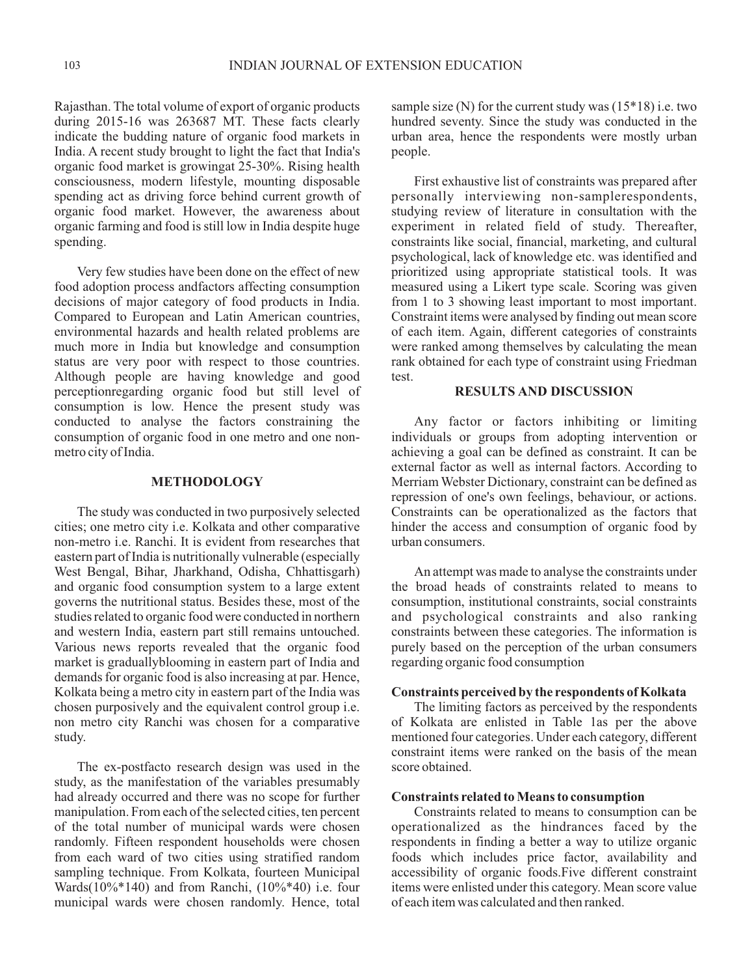Rajasthan. The total volume of export of organic products during 2015-16 was 263687 MT. These facts clearly indicate the budding nature of organic food markets in India. A recent study brought to light the fact that India's organic food market is growingat 25-30%. Rising health consciousness, modern lifestyle, mounting disposable spending act as driving force behind current growth of organic food market. However, the awareness about organic farming and food is still low in India despite huge spending.

Very few studies have been done on the effect of new food adoption process andfactors affecting consumption decisions of major category of food products in India. Compared to European and Latin American countries, environmental hazards and health related problems are much more in India but knowledge and consumption status are very poor with respect to those countries. Although people are having knowledge and good perceptionregarding organic food but still level of consumption is low. Hence the present study was conducted to analyse the factors constraining the consumption of organic food in one metro and one nonmetro city of India.

## **METHODOLOGY**

The study was conducted in two purposively selected cities; one metro city i.e. Kolkata and other comparative non-metro i.e. Ranchi. It is evident from researches that eastern part of India is nutritionally vulnerable (especially West Bengal, Bihar, Jharkhand, Odisha, Chhattisgarh) and organic food consumption system to a large extent governs the nutritional status. Besides these, most of the studies related to organic food were conducted in northern and western India, eastern part still remains untouched. Various news reports revealed that the organic food market is graduallyblooming in eastern part of India and demands for organic food is also increasing at par. Hence, Kolkata being a metro city in eastern part of the India was chosen purposively and the equivalent control group i.e. non metro city Ranchi was chosen for a comparative study.

The ex-postfacto research design was used in the study, as the manifestation of the variables presumably had already occurred and there was no scope for further manipulation. From each of the selected cities, ten percent of the total number of municipal wards were chosen randomly. Fifteen respondent households were chosen from each ward of two cities using stratified random sampling technique. From Kolkata, fourteen Municipal Wards( $10\%*140$ ) and from Ranchi,  $(10\%*40)$  i.e. four municipal wards were chosen randomly. Hence, total sample size  $(N)$  for the current study was  $(15*18)$  i.e. two hundred seventy. Since the study was conducted in the urban area, hence the respondents were mostly urban people.

First exhaustive list of constraints was prepared after personally interviewing non-samplerespondents, studying review of literature in consultation with the experiment in related field of study. Thereafter, constraints like social, financial, marketing, and cultural psychological, lack of knowledge etc. was identified and prioritized using appropriate statistical tools. It was measured using a Likert type scale. Scoring was given from 1 to 3 showing least important to most important. Constraint items were analysed by finding out mean score of each item. Again, different categories of constraints were ranked among themselves by calculating the mean rank obtained for each type of constraint using Friedman test.

# **RESULTS AND DISCUSSION**

Any factor or factors inhibiting or limiting individuals or groups from adopting intervention or achieving a goal can be defined as constraint. It can be external factor as well as internal factors. According to Merriam Webster Dictionary, constraint can be defined as repression of one's own feelings, behaviour, or actions. Constraints can be operationalized as the factors that hinder the access and consumption of organic food by urban consumers.

An attempt was made to analyse the constraints under the broad heads of constraints related to means to consumption, institutional constraints, social constraints and psychological constraints and also ranking constraints between these categories. The information is purely based on the perception of the urban consumers regarding organic food consumption

# **Constraints perceived by the respondents of Kolkata**

The limiting factors as perceived by the respondents of Kolkata are enlisted in Table 1as per the above mentioned four categories. Under each category, different constraint items were ranked on the basis of the mean score obtained.

#### **Constraints related to Means to consumption**

Constraints related to means to consumption can be operationalized as the hindrances faced by the respondents in finding a better a way to utilize organic foods which includes price factor, availability and accessibility of organic foods.Five different constraint items were enlisted under this category. Mean score value of each item was calculated and then ranked.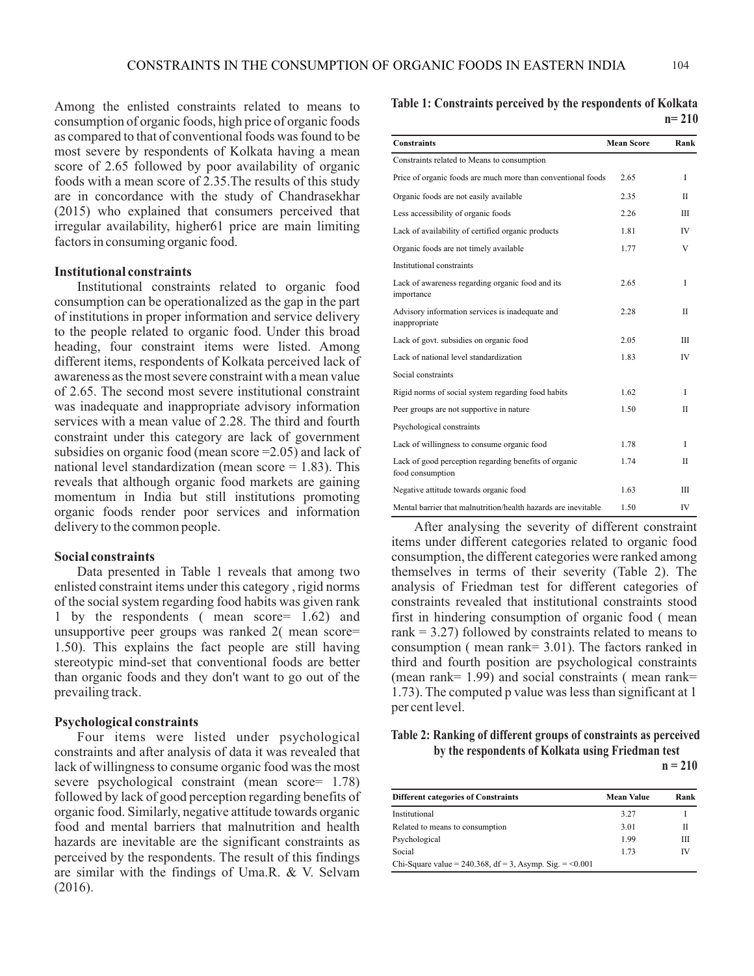Among the enlisted constraints related to means to consumption of organic foods, high price of organic foods as compared to that of conventional foods was found to be most severe by respondents of Kolkata having a mean score of 2.65 followed by poor availability of organic foods with a mean score of 2.35.The results of this study are in concordance with the study of Chandrasekhar (2015) who explained that consumers perceived that irregular availability, higher61 price are main limiting factors in consuming organic food.

# **Institutional constraints**

Institutional constraints related to organic food consumption can be operationalized as the gap in the part of institutions in proper information and service delivery to the people related to organic food. Under this broad heading, four constraint items were listed. Among different items, respondents of Kolkata perceived lack of awareness as the most severe constraint with a mean value of 2.65. The second most severe institutional constraint was inadequate and inappropriate advisory information services with a mean value of 2.28. The third and fourth constraint under this category are lack of government subsidies on organic food (mean score =2.05) and lack of national level standardization (mean score  $= 1.83$ ). This reveals that although organic food markets are gaining momentum in India but still institutions promoting organic foods render poor services and information delivery to the common people.

### **Social constraints**

Data presented in Table 1 reveals that among two enlisted constraint items under this category , rigid norms of the social system regarding food habits was given rank 1 by the respondents ( mean score= 1.62) and unsupportive peer groups was ranked 2( mean score= 1.50). This explains the fact people are still having stereotypic mind-set that conventional foods are better than organic foods and they don't want to go out of the prevailing track.

### **Psychological constraints**

Four items were listed under psychological constraints and after analysis of data it was revealed that lack of willingness to consume organic food was the most severe psychological constraint (mean score= 1.78) followed by lack of good perception regarding benefits of organic food. Similarly, negative attitude towards organic food and mental barriers that malnutrition and health hazards are inevitable are the significant constraints as perceived by the respondents. The result of this findings are similar with the findings of Uma.R. & V. Selvam (2016).

**Table 1: Constraints perceived by the respondents of Kolkata n= 210**

| <b>Constraints</b>                                                        | <b>Mean Score</b> | Rank        |
|---------------------------------------------------------------------------|-------------------|-------------|
| Constraints related to Means to consumption                               |                   |             |
| Price of organic foods are much more than conventional foods              | 2.65              | T           |
| Organic foods are not easily available                                    | 2.35              | H           |
| Less accessibility of organic foods                                       | 2.26              | IΙI         |
| Lack of availability of certified organic products                        | 1.81              | <b>IV</b>   |
| Organic foods are not timely available                                    | 1.77              | V           |
| Institutional constraints                                                 |                   |             |
| Lack of awareness regarding organic food and its<br>importance            | 2.65              | L           |
| Advisory information services is inadequate and<br>inappropriate          | 2.28              | $_{\rm II}$ |
| Lack of govt. subsidies on organic food                                   | 2.05              | IΙI         |
| Lack of national level standardization                                    | 1.83              | IV          |
| Social constraints                                                        |                   |             |
| Rigid norms of social system regarding food habits                        | 1.62              | T           |
| Peer groups are not supportive in nature                                  | 1.50              | $_{\rm II}$ |
| Psychological constraints                                                 |                   |             |
| Lack of willingness to consume organic food                               | 1.78              | T           |
| Lack of good perception regarding benefits of organic<br>food consumption | 1.74              | $_{\rm II}$ |
| Negative attitude towards organic food                                    | 1.63              | IΙI         |
| Mental barrier that malnutrition/health hazards are inevitable            | 1.50              | IV          |

After analysing the severity of different constraint items under different categories related to organic food consumption, the different categories were ranked among themselves in terms of their severity (Table 2). The analysis of Friedman test for different categories of constraints revealed that institutional constraints stood first in hindering consumption of organic food ( mean rank  $= 3.27$ ) followed by constraints related to means to consumption ( mean rank= 3.01). The factors ranked in third and fourth position are psychological constraints (mean rank=  $1.99$ ) and social constraints (mean rank= 1.73). The computed p value was less than significant at 1 per cent level.

# **Table 2: Ranking of different groups of constraints as perceived by the respondents of Kolkata using Friedman test**

 $n = 210$ 

| <b>Different categories of Constraints</b>                   | Mean Value | Rank |
|--------------------------------------------------------------|------------|------|
| Institutional                                                | 3.27       |      |
| Related to means to consumption                              | 3.01       | Н    |
| Psychological                                                | 1.99       | Ш    |
| Social                                                       | 1.73       | IV   |
| Chi-Square value = $240.368$ , df = 3, Asymp. Sig. = < 0.001 |            |      |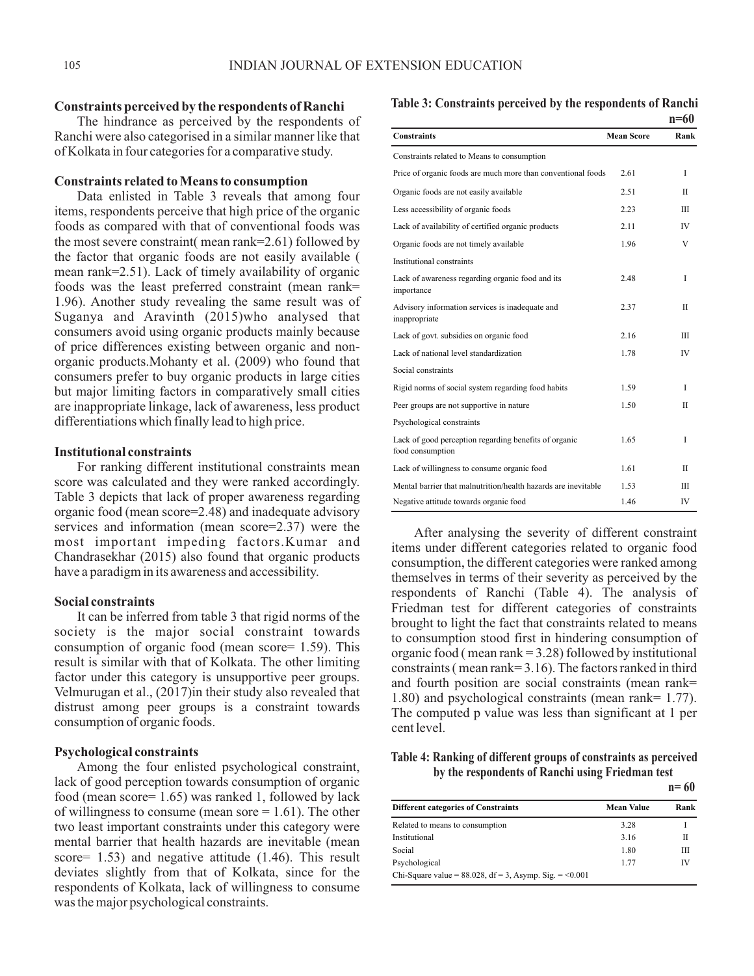#### **Constraints perceived by the respondents of Ranchi**

The hindrance as perceived by the respondents of Ranchi were also categorised in a similar manner like that of Kolkata in four categories for a comparative study.

## **Constraints related to Means to consumption**

Data enlisted in Table 3 reveals that among four items, respondents perceive that high price of the organic foods as compared with that of conventional foods was the most severe constraint( mean rank=2.61) followed by the factor that organic foods are not easily available ( mean rank=2.51). Lack of timely availability of organic foods was the least preferred constraint (mean rank= 1.96). Another study revealing the same result was of Suganya and Aravinth (2015)who analysed that consumers avoid using organic products mainly because of price differences existing between organic and nonorganic products.Mohanty et al. (2009) who found that consumers prefer to buy organic products in large cities but major limiting factors in comparatively small cities are inappropriate linkage, lack of awareness, less product differentiations which finally lead to high price.

#### **Institutional constraints**

For ranking different institutional constraints mean score was calculated and they were ranked accordingly. Table 3 depicts that lack of proper awareness regarding organic food (mean score=2.48) and inadequate advisory services and information (mean score=2.37) were the most important impeding factors.Kumar and Chandrasekhar (2015) also found that organic products have a paradigm in its awareness and accessibility.

#### **Social constraints**

It can be inferred from table 3 that rigid norms of the society is the major social constraint towards consumption of organic food (mean score= 1.59). This result is similar with that of Kolkata. The other limiting factor under this category is unsupportive peer groups. Velmurugan et al., (2017)in their study also revealed that distrust among peer groups is a constraint towards consumption of organic foods.

## **Psychological constraints**

Among the four enlisted psychological constraint, lack of good perception towards consumption of organic food (mean score= 1.65) was ranked 1, followed by lack of willingness to consume (mean sore  $= 1.61$ ). The other two least important constraints under this category were mental barrier that health hazards are inevitable (mean score= 1.53) and negative attitude (1.46). This result deviates slightly from that of Kolkata, since for the respondents of Kolkata, lack of willingness to consume was the major psychological constraints.

**Table 3: Constraints perceived by the respondents of Ranchi n=60**

| <b>Constraints</b>                                                        | <b>Mean Score</b> | Rank        |
|---------------------------------------------------------------------------|-------------------|-------------|
| Constraints related to Means to consumption                               |                   |             |
| Price of organic foods are much more than conventional foods              | 2.61              | I           |
| Organic foods are not easily available                                    | 2.51              | H           |
| Less accessibility of organic foods                                       | 2.23              | IΠ          |
| Lack of availability of certified organic products                        | 2.11              | <b>IV</b>   |
| Organic foods are not timely available                                    | 1.96              | V           |
| Institutional constraints                                                 |                   |             |
| Lack of awareness regarding organic food and its<br>importance            | 2.48              | I           |
| Advisory information services is inadequate and<br>inappropriate          | 2.37              | H           |
| Lack of govt. subsidies on organic food                                   | 2.16              | Ш           |
| Lack of national level standardization                                    | 1.78              | <b>IV</b>   |
| Social constraints                                                        |                   |             |
| Rigid norms of social system regarding food habits                        | 1.59              | T           |
| Peer groups are not supportive in nature                                  | 1.50              | $_{\rm II}$ |
| Psychological constraints                                                 |                   |             |
| Lack of good perception regarding benefits of organic<br>food consumption | 1.65              | T           |
| Lack of willingness to consume organic food                               | 1.61              | H           |
| Mental barrier that malnutrition/health hazards are inevitable            | 1.53              | Ш           |
| Negative attitude towards organic food                                    | 1.46              | IV          |

After analysing the severity of different constraint items under different categories related to organic food consumption, the different categories were ranked among themselves in terms of their severity as perceived by the respondents of Ranchi (Table 4). The analysis of Friedman test for different categories of constraints brought to light the fact that constraints related to means to consumption stood first in hindering consumption of organic food ( mean rank = 3.28) followed by institutional constraints ( mean rank= 3.16). The factors ranked in third and fourth position are social constraints (mean rank= 1.80) and psychological constraints (mean rank= 1.77). The computed p value was less than significant at 1 per cent level.

## **Table 4: Ranking of different groups of constraints as perceived by the respondents of Ranchi using Friedman test**

|                                                             |                   | $n = 60$ |
|-------------------------------------------------------------|-------------------|----------|
| <b>Different categories of Constraints</b>                  | <b>Mean Value</b> | Rank     |
| Related to means to consumption                             | 3.28              |          |
| Institutional                                               | 3.16              | Н        |
| Social                                                      | 1.80              | Ш        |
| Psychological                                               | 1.77              | IV       |
| Chi-Square value = $88.028$ , df = 3, Asymp. Sig. = < 0.001 |                   |          |